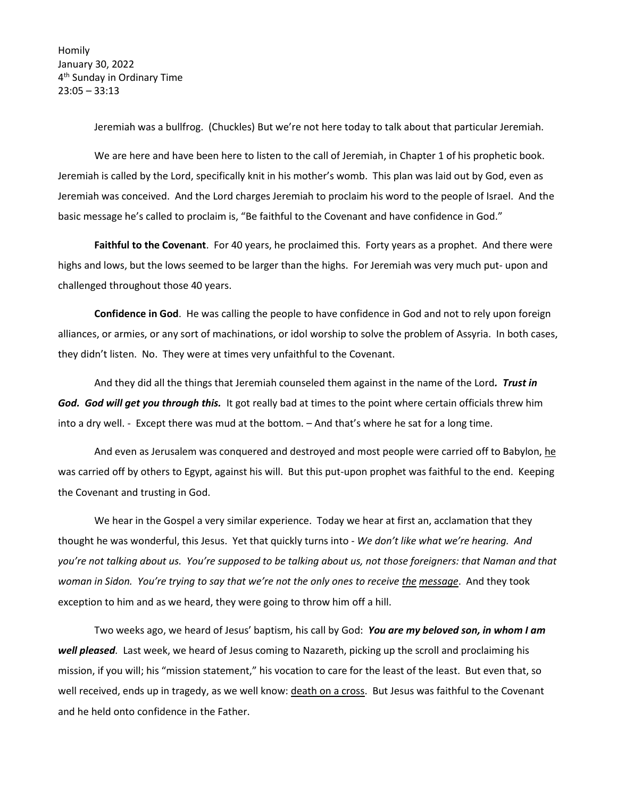Homily January 30, 2022 4 th Sunday in Ordinary Time 23:05 – 33:13

Jeremiah was a bullfrog. (Chuckles) But we're not here today to talk about that particular Jeremiah.

We are here and have been here to listen to the call of Jeremiah, in Chapter 1 of his prophetic book. Jeremiah is called by the Lord, specifically knit in his mother's womb. This plan was laid out by God, even as Jeremiah was conceived. And the Lord charges Jeremiah to proclaim his word to the people of Israel. And the basic message he's called to proclaim is, "Be faithful to the Covenant and have confidence in God."

**Faithful to the Covenant**. For 40 years, he proclaimed this. Forty years as a prophet. And there were highs and lows, but the lows seemed to be larger than the highs. For Jeremiah was very much put- upon and challenged throughout those 40 years.

**Confidence in God**. He was calling the people to have confidence in God and not to rely upon foreign alliances, or armies, or any sort of machinations, or idol worship to solve the problem of Assyria. In both cases, they didn't listen. No. They were at times very unfaithful to the Covenant.

And they did all the things that Jeremiah counseled them against in the name of the Lord*. Trust in God. God will get you through this.* It got really bad at times to the point where certain officials threw him into a dry well. - Except there was mud at the bottom. – And that's where he sat for a long time.

And even as Jerusalem was conquered and destroyed and most people were carried off to Babylon, he was carried off by others to Egypt, against his will. But this put-upon prophet was faithful to the end. Keeping the Covenant and trusting in God.

We hear in the Gospel a very similar experience. Today we hear at first an, acclamation that they thought he was wonderful, this Jesus. Yet that quickly turns into - *We don't like what we're hearing. And you're not talking about us. You're supposed to be talking about us, not those foreigners: that Naman and that woman in Sidon. You're trying to say that we're not the only ones to receive the message*. And they took exception to him and as we heard, they were going to throw him off a hill.

Two weeks ago, we heard of Jesus' baptism, his call by God: *You are my beloved son, in whom I am well pleased.* Last week, we heard of Jesus coming to Nazareth, picking up the scroll and proclaiming his mission, if you will; his "mission statement," his vocation to care for the least of the least. But even that, so well received, ends up in tragedy, as we well know: death on a cross. But Jesus was faithful to the Covenant and he held onto confidence in the Father.